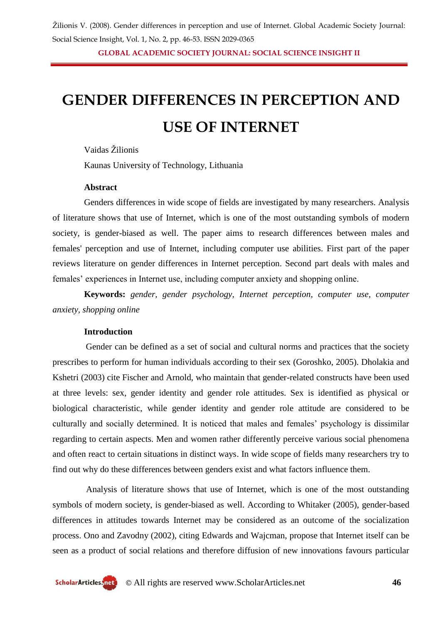**GLOBAL ACADEMIC SOCIETY JOURNAL: SOCIAL SCIENCE INSIGHT II**

# **GENDER DIFFERENCES IN PERCEPTION AND**

## **USE OF INTERNET**

#### Vaidas Žilionis

Kaunas University of Technology, Lithuania

#### **Abstract**

Genders differences in wide scope of fields are investigated by many researchers. Analysis of literature shows that use of Internet, which is one of the most outstanding symbols of modern society, is gender-biased as well. The paper aims to research differences between males and females' perception and use of Internet, including computer use abilities. First part of the paper reviews literature on gender differences in Internet perception. Second part deals with males and females' experiences in Internet use, including computer anxiety and shopping online.

**Keywords:** *gender, gender psychology, Internet perception, computer use, computer anxiety, shopping online*

#### **Introduction**

Gender can be defined as a set of social and cultural norms and practices that the society prescribes to perform for human individuals according to their sex (Goroshko, 2005). Dholakia and Kshetri (2003) cite Fischer and Arnold, who maintain that gender-related constructs have been used at three levels: sex, gender identity and gender role attitudes. Sex is identified as physical or biological characteristic, while gender identity and gender role attitude are considered to be culturally and socially determined. It is noticed that males and females' psychology is dissimilar regarding to certain aspects. Men and women rather differently perceive various social phenomena and often react to certain situations in distinct ways. In wide scope of fields many researchers try to find out why do these differences between genders exist and what factors influence them.

Analysis of literature shows that use of Internet, which is one of the most outstanding symbols of modern society, is gender-biased as well. According to Whitaker (2005), gender-based differences in attitudes towards Internet may be considered as an outcome of the socialization process. Ono and Zavodny (2002), citing Edwards and Wajcman, propose that Internet itself can be seen as a product of social relations and therefore diffusion of new innovations favours particular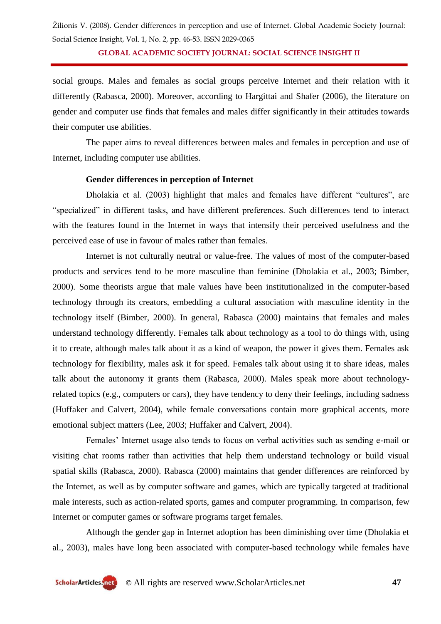**GLOBAL ACADEMIC SOCIETY JOURNAL: SOCIAL SCIENCE INSIGHT II**

social groups. Males and females as social groups perceive Internet and their relation with it differently (Rabasca, 2000). Moreover, according to Hargittai and Shafer (2006), the literature on gender and computer use finds that females and males differ significantly in their attitudes towards their computer use abilities.

The paper aims to reveal differences between males and females in perception and use of Internet, including computer use abilities.

#### **Gender differences in perception of Internet**

Dholakia et al. (2003) highlight that males and females have different "cultures", are "specialized" in different tasks, and have different preferences. Such differences tend to interact with the features found in the Internet in ways that intensify their perceived usefulness and the perceived ease of use in favour of males rather than females.

Internet is not culturally neutral or value-free. The values of most of the computer-based products and services tend to be more masculine than feminine (Dholakia et al., 2003; Bimber, 2000). Some theorists argue that male values have been institutionalized in the computer-based technology through its creators, embedding a cultural association with masculine identity in the technology itself (Bimber, 2000). In general, Rabasca (2000) maintains that females and males understand technology differently. Females talk about technology as a tool to do things with, using it to create, although males talk about it as a kind of weapon, the power it gives them. Females ask technology for flexibility, males ask it for speed. Females talk about using it to share ideas, males talk about the autonomy it grants them (Rabasca, 2000). Males speak more about technologyrelated topics (e.g., computers or cars), they have tendency to deny their feelings, including sadness (Huffaker and Calvert, 2004), while female conversations contain more graphical accents, more emotional subject matters (Lee, 2003; Huffaker and Calvert, 2004).

Females' Internet usage also tends to focus on verbal activities such as sending e-mail or visiting chat rooms rather than activities that help them understand technology or build visual spatial skills (Rabasca, 2000). Rabasca (2000) maintains that gender differences are reinforced by the Internet, as well as by computer software and games, which are typically targeted at traditional male interests, such as action-related sports, games and computer programming. In comparison, few Internet or computer games or software programs target females.

Although the gender gap in Internet adoption has been diminishing over time (Dholakia et al., 2003), males have long been associated with computer-based technology while females have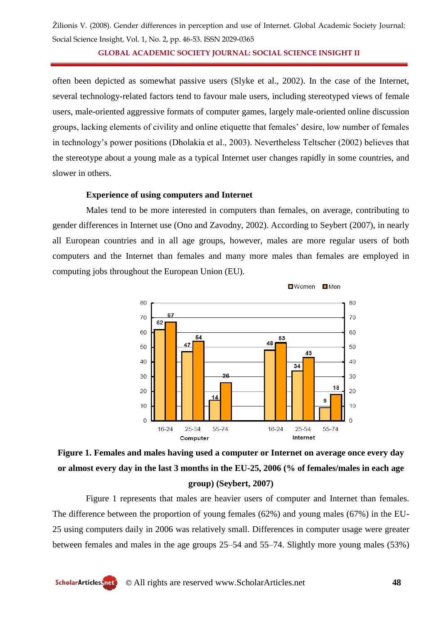**GLOBAL ACADEMIC SOCIETY JOURNAL: SOCIAL SCIENCE INSIGHT II**

often been depicted as somewhat passive users (Slyke et al., 2002). In the case of the Internet, several technology-related factors tend to favour male users, including stereotyped views of female users, male-oriented aggressive formats of computer games, largely male-oriented online discussion groups, lacking elements of civility and online etiquette that females' desire, low number of females in technology's power positions (Dholakia et al., 2003). Nevertheless Teltscher (2002) believes that the stereotype about a young male as a typical Internet user changes rapidly in some countries, and slower in others.

#### **Experience of using computers and Internet**

Males tend to be more interested in computers than females, on average, contributing to gender differences in Internet use (Ono and Zavodny, 2002). According to Seybert (2007), in nearly all European countries and in all age groups, however, males are more regular users of both computers and the Internet than females and many more males than females are employed in computing jobs throughout the European Union (EU).



### **Figure 1. Females and males having used a computer or Internet on average once every day or almost every day in the last 3 months in the EU-25, 2006 (% of females/males in each age group) (Seybert, 2007)**

Figure 1 represents that males are heavier users of computer and Internet than females. The difference between the proportion of young females (62%) and young males (67%) in the EU-25 using computers daily in 2006 was relatively small. Differences in computer usage were greater between females and males in the age groups 25–54 and 55–74. Slightly more young males (53%)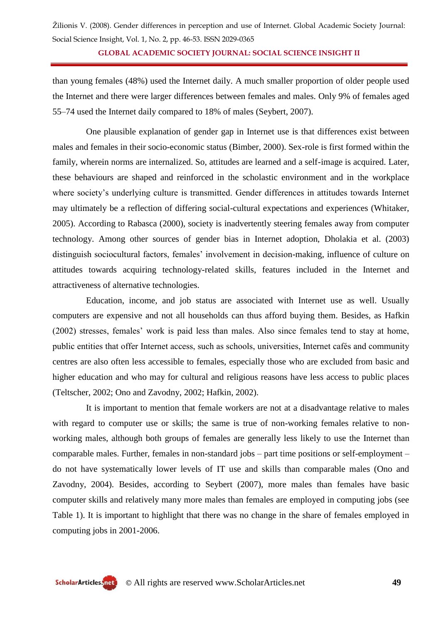**GLOBAL ACADEMIC SOCIETY JOURNAL: SOCIAL SCIENCE INSIGHT II**

than young females (48%) used the Internet daily. A much smaller proportion of older people used the Internet and there were larger differences between females and males. Only 9% of females aged 55–74 used the Internet daily compared to 18% of males (Seybert, 2007).

One plausible explanation of gender gap in Internet use is that differences exist between males and females in their socio-economic status (Bimber, 2000). Sex-role is first formed within the family, wherein norms are internalized. So, attitudes are learned and a self-image is acquired. Later, these behaviours are shaped and reinforced in the scholastic environment and in the workplace where society's underlying culture is transmitted. Gender differences in attitudes towards Internet may ultimately be a reflection of differing social-cultural expectations and experiences (Whitaker, 2005). According to Rabasca (2000), society is inadvertently steering females away from computer technology. Among other sources of gender bias in Internet adoption, Dholakia et al. (2003) distinguish sociocultural factors, females' involvement in decision-making, influence of culture on attitudes towards acquiring technology-related skills, features included in the Internet and attractiveness of alternative technologies.

Education, income, and job status are associated with Internet use as well. Usually computers are expensive and not all households can thus afford buying them. Besides, as Hafkin (2002) stresses, females' work is paid less than males. Also since females tend to stay at home, public entities that offer Internet access, such as schools, universities, Internet cafés and community centres are also often less accessible to females, especially those who are excluded from basic and higher education and who may for cultural and religious reasons have less access to public places (Teltscher, 2002; Ono and Zavodny, 2002; Hafkin, 2002).

It is important to mention that female workers are not at a disadvantage relative to males with regard to computer use or skills; the same is true of non-working females relative to nonworking males, although both groups of females are generally less likely to use the Internet than comparable males. Further, females in non-standard jobs – part time positions or self-employment – do not have systematically lower levels of IT use and skills than comparable males (Ono and Zavodny, 2004). Besides, according to Seybert (2007), more males than females have basic computer skills and relatively many more males than females are employed in computing jobs (see Table 1). It is important to highlight that there was no change in the share of females employed in computing jobs in 2001-2006.

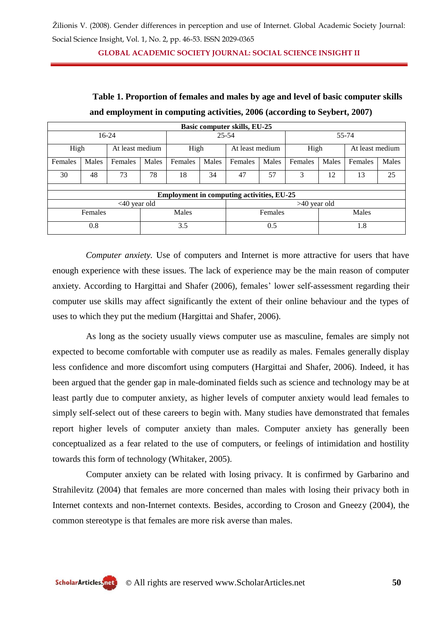**GLOBAL ACADEMIC SOCIETY JOURNAL: SOCIAL SCIENCE INSIGHT II**

| <b>Basic computer skills, EU-25</b>              |       |                 |       |           |       |                 |       |         |       |                 |       |
|--------------------------------------------------|-------|-----------------|-------|-----------|-------|-----------------|-------|---------|-------|-----------------|-------|
| 16-24                                            |       |                 |       | $25 - 54$ |       |                 |       | 55-74   |       |                 |       |
| High                                             |       | At least medium |       | High      |       | At least medium |       | High    |       | At least medium |       |
| Females                                          | Males | Females         | Males | Females   | Males | Females         | Males | Females | Males | Females         | Males |
| 30                                               | 48    | 73              | 78    | 18        | 34    | 47              | 57    | 3       | 12    | 13              | 25    |
|                                                  |       |                 |       |           |       |                 |       |         |       |                 |       |
| <b>Employment in computing activities, EU-25</b> |       |                 |       |           |       |                 |       |         |       |                 |       |
| $<40$ year old                                   |       |                 |       |           |       | $>40$ year old  |       |         |       |                 |       |
| Females                                          |       |                 | Males |           |       | Females         |       |         | Males |                 |       |
| 0.8                                              |       |                 | 3.5   |           |       | 0.5             |       | 1.8     |       |                 |       |

**Table 1. Proportion of females and males by age and level of basic computer skills and employment in computing activities, 2006 (according to Seybert, 2007)**

*Computer anxiety*. Use of computers and Internet is more attractive for users that have enough experience with these issues. The lack of experience may be the main reason of computer anxiety. According to Hargittai and Shafer (2006), females' lower self-assessment regarding their computer use skills may affect significantly the extent of their online behaviour and the types of uses to which they put the medium (Hargittai and Shafer, 2006).

As long as the society usually views computer use as masculine, females are simply not expected to become comfortable with computer use as readily as males. Females generally display less confidence and more discomfort using computers (Hargittai and Shafer, 2006). Indeed, it has been argued that the gender gap in male-dominated fields such as science and technology may be at least partly due to computer anxiety, as higher levels of computer anxiety would lead females to simply self-select out of these careers to begin with. Many studies have demonstrated that females report higher levels of computer anxiety than males. Computer anxiety has generally been conceptualized as a fear related to the use of computers, or feelings of intimidation and hostility towards this form of technology (Whitaker, 2005).

Computer anxiety can be related with losing privacy. It is confirmed by Garbarino and Strahilevitz (2004) that females are more concerned than males with losing their privacy both in Internet contexts and non-Internet contexts. Besides, according to Croson and Gneezy (2004), the common stereotype is that females are more risk averse than males.

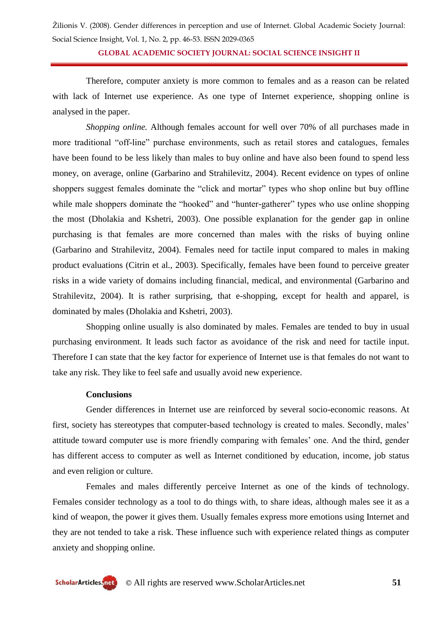**GLOBAL ACADEMIC SOCIETY JOURNAL: SOCIAL SCIENCE INSIGHT II**

Therefore, computer anxiety is more common to females and as a reason can be related with lack of Internet use experience. As one type of Internet experience, shopping online is analysed in the paper.

*Shopping online.* Although females account for well over 70% of all purchases made in more traditional "off-line" purchase environments, such as retail stores and catalogues, females have been found to be less likely than males to buy online and have also been found to spend less money, on average, online (Garbarino and Strahilevitz, 2004). Recent evidence on types of online shoppers suggest females dominate the "click and mortar" types who shop online but buy offline while male shoppers dominate the "hooked" and "hunter-gatherer" types who use online shopping the most (Dholakia and Kshetri, 2003). One possible explanation for the gender gap in online purchasing is that females are more concerned than males with the risks of buying online (Garbarino and Strahilevitz, 2004). Females need for tactile input compared to males in making product evaluations (Citrin et al., 2003). Specifically, females have been found to perceive greater risks in a wide variety of domains including financial, medical, and environmental (Garbarino and Strahilevitz, 2004). It is rather surprising, that e-shopping, except for health and apparel, is dominated by males (Dholakia and Kshetri, 2003).

Shopping online usually is also dominated by males. Females are tended to buy in usual purchasing environment. It leads such factor as avoidance of the risk and need for tactile input. Therefore I can state that the key factor for experience of Internet use is that females do not want to take any risk. They like to feel safe and usually avoid new experience.

#### **Conclusions**

Gender differences in Internet use are reinforced by several socio-economic reasons. At first, society has stereotypes that computer-based technology is created to males. Secondly, males' attitude toward computer use is more friendly comparing with females' one. And the third, gender has different access to computer as well as Internet conditioned by education, income, job status and even religion or culture.

Females and males differently perceive Internet as one of the kinds of technology. Females consider technology as a tool to do things with, to share ideas, although males see it as a kind of weapon, the power it gives them. Usually females express more emotions using Internet and they are not tended to take a risk. These influence such with experience related things as computer anxiety and shopping online.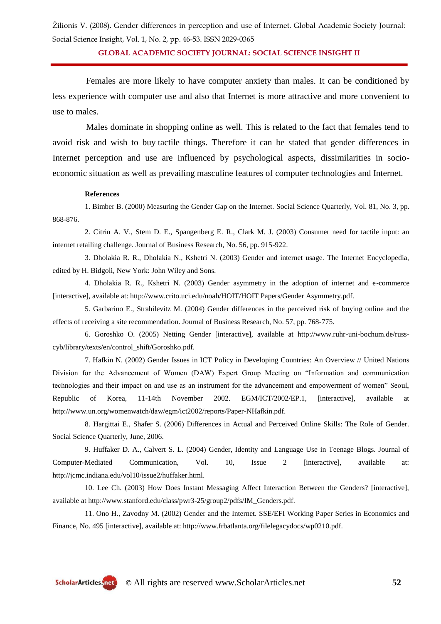**GLOBAL ACADEMIC SOCIETY JOURNAL: SOCIAL SCIENCE INSIGHT II**

Females are more likely to have computer anxiety than males. It can be conditioned by less experience with computer use and also that Internet is more attractive and more convenient to use to males.

Males dominate in shopping online as well. This is related to the fact that females tend to avoid risk and wish to buy tactile things. Therefore it can be stated that gender differences in Internet perception and use are influenced by psychological aspects, dissimilarities in socioeconomic situation as well as prevailing masculine features of computer technologies and Internet.

#### **References**

1. Bimber B. (2000) Measuring the Gender Gap on the Internet. Social Science Quarterly, Vol. 81, No. 3, pp. 868-876.

2. Citrin A. V., Stem D. E., Spangenberg E. R., Clark M. J. (2003) Consumer need for tactile input: an internet retailing challenge. Journal of Business Research, No. 56, pp. 915-922.

3. Dholakia R. R., Dholakia N., Kshetri N. (2003) Gender and internet usage. The Internet Encyclopedia, edited by H. Bidgoli, New York: John Wiley and Sons.

4. Dholakia R. R., Kshetri N. (2003) Gender asymmetry in the adoption of internet and e-commerce [interactive], available at: http://www.crito.uci.edu/noah/HOIT/HOIT Papers/Gender Asymmetry.pdf.

5. Garbarino E., Strahilevitz M. (2004) Gender differences in the perceived risk of buying online and the effects of receiving a site recommendation. Journal of Business Research, No. 57, pp. 768-775.

6. Goroshko O. (2005) Netting Gender [interactive], available at http://www.ruhr-uni-bochum.de/russcyb/library/texts/en/control\_shift/Goroshko.pdf.

7. Hafkin N. (2002) Gender Issues in ICT Policy in Developing Countries: An Overview // United Nations Division for the Advancement of Women (DAW) Expert Group Meeting on "Information and communication technologies and their impact on and use as an instrument for the advancement and empowerment of women" Seoul, Republic of Korea, 11-14th November 2002. EGM/ICT/2002/EP.1, [interactive], available at http://www.un.org/womenwatch/daw/egm/ict2002/reports/Paper-NHafkin.pdf.

8. Hargittai E., Shafer S. (2006) Differences in Actual and Perceived Online Skills: The Role of Gender. Social Science Quarterly, June, 2006.

9. Huffaker D. A., Calvert S. L. (2004) Gender, Identity and Language Use in Teenage Blogs. Journal of Computer-Mediated Communication, Vol. 10, Issue 2 [interactive], available at: http://jcmc.indiana.edu/vol10/issue2/huffaker.html.

10. Lee Ch. (2003) How Does Instant Messaging Affect Interaction Between the Genders? [interactive], available at http://www.stanford.edu/class/pwr3-25/group2/pdfs/IM\_Genders.pdf.

11. Ono H., Zavodny M. (2002) Gender and the Internet. SSE/EFI Working Paper Series in Economics and Finance, No. 495 [interactive], available at: http://www.frbatlanta.org/filelegacydocs/wp0210.pdf.